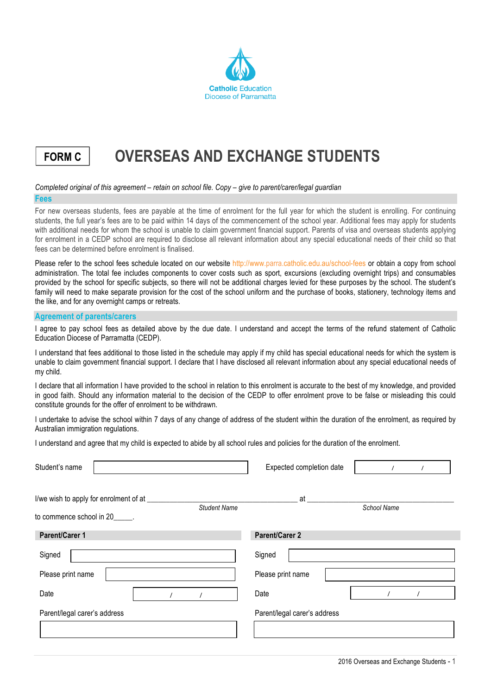

## **FORM C OVERSEAS AND EXCHANGE STUDENTS**

## *Completed original of this agreement – retain on school file. Copy – give to parent/carer/legal guardian*

## **Fees**

For new overseas students, fees are payable at the time of enrolment for the full year for which the student is enrolling. For continuing students, the full year's fees are to be paid within 14 days of the commencement of the school year. Additional fees may apply for students with additional needs for whom the school is unable to claim government financial support. Parents of visa and overseas students applying for enrolment in a CEDP school are required to disclose all relevant information about any special educational needs of their child so that fees can be determined before enrolment is finalised.

Please refer to the school fees schedule located on our website http://www.parra.catholic.edu.au/school-fees or obtain a copy from school administration. The total fee includes components to cover costs such as sport, excursions (excluding overnight trips) and consumables provided by the school for specific subjects, so there will not be additional charges levied for these purposes by the school. The student's family will need to make separate provision for the cost of the school uniform and the purchase of books, stationery, technology items and the like, and for any overnight camps or retreats.

## **Agreement of parents/carers**

I agree to pay school fees as detailed above by the due date. I understand and accept the terms of the refund statement of Catholic Education Diocese of Parramatta (CEDP).

I understand that fees additional to those listed in the schedule may apply if my child has special educational needs for which the system is unable to claim government financial support. I declare that I have disclosed all relevant information about any special educational needs of my child.

I declare that all information I have provided to the school in relation to this enrolment is accurate to the best of my knowledge, and provided in good faith. Should any information material to the decision of the CEDP to offer enrolment prove to be false or misleading this could constitute grounds for the offer of enrolment to be withdrawn.

I undertake to advise the school within 7 days of any change of address of the student within the duration of the enrolment, as required by Australian immigration regulations.

I understand and agree that my child is expected to abide by all school rules and policies for the duration of the enrolment.

| Student's name                                                                                         | Expected completion date     |  |  |
|--------------------------------------------------------------------------------------------------------|------------------------------|--|--|
| I/we wish to apply for enrolment of at _____<br><b>Student Name</b><br>to commence school in 20______. | at<br>School Name            |  |  |
| Parent/Carer 1                                                                                         | <b>Parent/Carer 2</b>        |  |  |
| Signed                                                                                                 | Signed                       |  |  |
| Please print name                                                                                      | Please print name            |  |  |
| Date                                                                                                   | Date                         |  |  |
| Parent/legal carer's address                                                                           | Parent/legal carer's address |  |  |